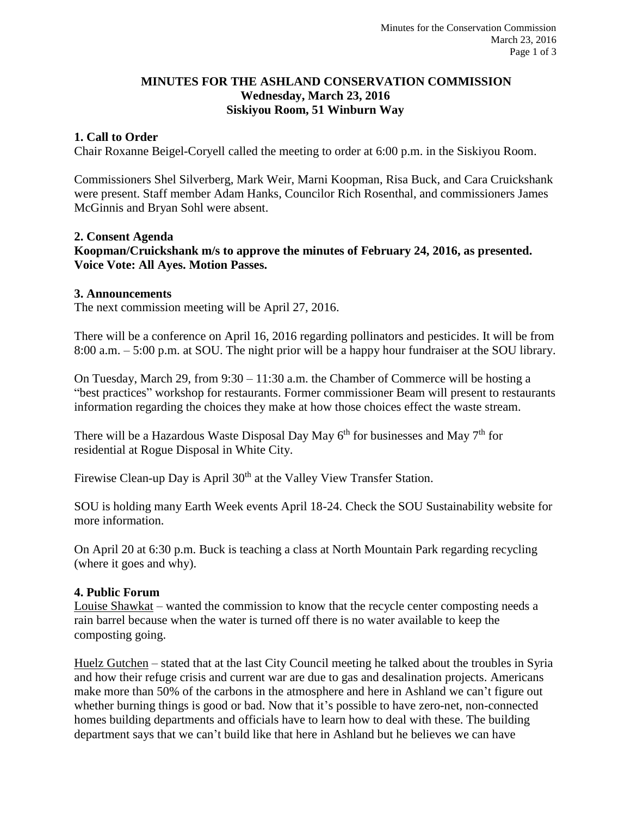### **MINUTES FOR THE ASHLAND CONSERVATION COMMISSION Wednesday, March 23, 2016 Siskiyou Room, 51 Winburn Way**

### **1. Call to Order**

Chair Roxanne Beigel-Coryell called the meeting to order at 6:00 p.m. in the Siskiyou Room.

Commissioners Shel Silverberg, Mark Weir, Marni Koopman, Risa Buck, and Cara Cruickshank were present. Staff member Adam Hanks, Councilor Rich Rosenthal, and commissioners James McGinnis and Bryan Sohl were absent.

#### **2. Consent Agenda**

**Koopman/Cruickshank m/s to approve the minutes of February 24, 2016, as presented. Voice Vote: All Ayes. Motion Passes.**

#### **3. Announcements**

The next commission meeting will be April 27, 2016.

There will be a conference on April 16, 2016 regarding pollinators and pesticides. It will be from 8:00 a.m. – 5:00 p.m. at SOU. The night prior will be a happy hour fundraiser at the SOU library.

On Tuesday, March 29, from 9:30 – 11:30 a.m. the Chamber of Commerce will be hosting a "best practices" workshop for restaurants. Former commissioner Beam will present to restaurants information regarding the choices they make at how those choices effect the waste stream.

There will be a Hazardous Waste Disposal Day May  $6<sup>th</sup>$  for businesses and May  $7<sup>th</sup>$  for residential at Rogue Disposal in White City.

Firewise Clean-up Day is April 30<sup>th</sup> at the Valley View Transfer Station.

SOU is holding many Earth Week events April 18-24. Check the SOU Sustainability website for more information.

On April 20 at 6:30 p.m. Buck is teaching a class at North Mountain Park regarding recycling (where it goes and why).

#### **4. Public Forum**

Louise Shawkat – wanted the commission to know that the recycle center composting needs a rain barrel because when the water is turned off there is no water available to keep the composting going.

Huelz Gutchen – stated that at the last City Council meeting he talked about the troubles in Syria and how their refuge crisis and current war are due to gas and desalination projects. Americans make more than 50% of the carbons in the atmosphere and here in Ashland we can't figure out whether burning things is good or bad. Now that it's possible to have zero-net, non-connected homes building departments and officials have to learn how to deal with these. The building department says that we can't build like that here in Ashland but he believes we can have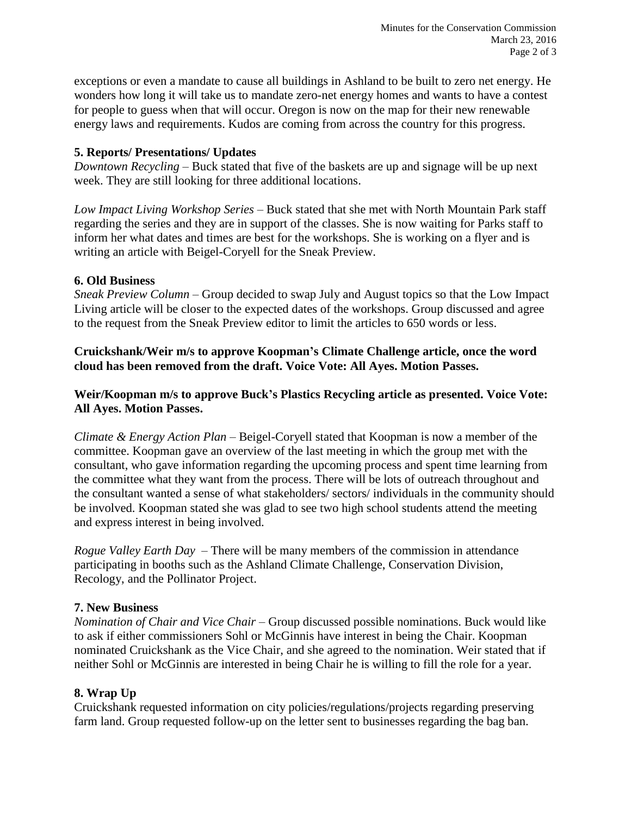exceptions or even a mandate to cause all buildings in Ashland to be built to zero net energy. He wonders how long it will take us to mandate zero-net energy homes and wants to have a contest for people to guess when that will occur. Oregon is now on the map for their new renewable energy laws and requirements. Kudos are coming from across the country for this progress.

# **5. Reports/ Presentations/ Updates**

*Downtown Recycling* – Buck stated that five of the baskets are up and signage will be up next week. They are still looking for three additional locations.

*Low Impact Living Workshop Series* – Buck stated that she met with North Mountain Park staff regarding the series and they are in support of the classes. She is now waiting for Parks staff to inform her what dates and times are best for the workshops. She is working on a flyer and is writing an article with Beigel-Coryell for the Sneak Preview.

### **6. Old Business**

*Sneak Preview Column* – Group decided to swap July and August topics so that the Low Impact Living article will be closer to the expected dates of the workshops. Group discussed and agree to the request from the Sneak Preview editor to limit the articles to 650 words or less.

**Cruickshank/Weir m/s to approve Koopman's Climate Challenge article, once the word cloud has been removed from the draft. Voice Vote: All Ayes. Motion Passes.**

# **Weir/Koopman m/s to approve Buck's Plastics Recycling article as presented. Voice Vote: All Ayes. Motion Passes.**

*Climate & Energy Action Plan* – Beigel-Coryell stated that Koopman is now a member of the committee. Koopman gave an overview of the last meeting in which the group met with the consultant, who gave information regarding the upcoming process and spent time learning from the committee what they want from the process. There will be lots of outreach throughout and the consultant wanted a sense of what stakeholders/ sectors/ individuals in the community should be involved. Koopman stated she was glad to see two high school students attend the meeting and express interest in being involved.

*Rogue Valley Earth Day* – There will be many members of the commission in attendance participating in booths such as the Ashland Climate Challenge, Conservation Division, Recology, and the Pollinator Project.

# **7. New Business**

*Nomination of Chair and Vice Chair* – Group discussed possible nominations. Buck would like to ask if either commissioners Sohl or McGinnis have interest in being the Chair. Koopman nominated Cruickshank as the Vice Chair, and she agreed to the nomination. Weir stated that if neither Sohl or McGinnis are interested in being Chair he is willing to fill the role for a year.

# **8. Wrap Up**

Cruickshank requested information on city policies/regulations/projects regarding preserving farm land. Group requested follow-up on the letter sent to businesses regarding the bag ban.